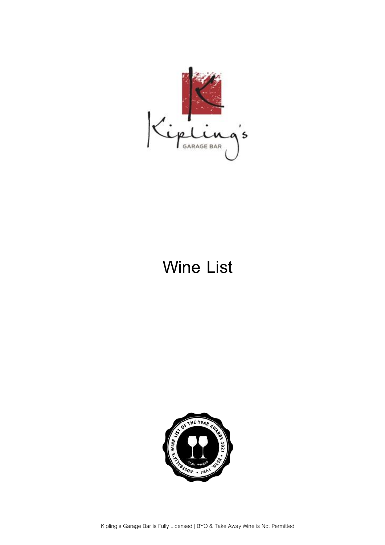

# **Wine List**

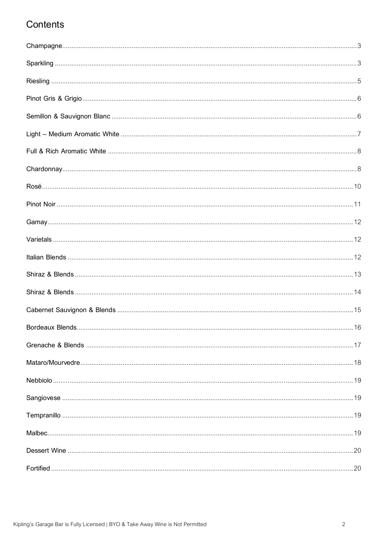# Contents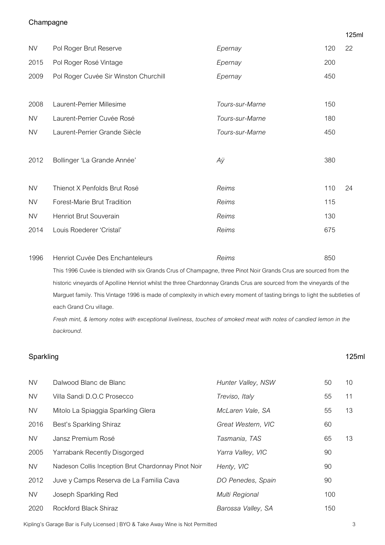#### <span id="page-2-0"></span>**Champagne**

| NV.       | Pol Roger Brut Reserve                | Epernay         | 120 | 22 |
|-----------|---------------------------------------|-----------------|-----|----|
| 2015      | Pol Roger Rosé Vintage                | Epernay         | 200 |    |
| 2009      | Pol Roger Cuvée Sir Winston Churchill | Epernay         | 450 |    |
|           |                                       |                 |     |    |
| 2008      | Laurent-Perrier Millesime             | Tours-sur-Marne | 150 |    |
| <b>NV</b> | Laurent-Perrier Cuvée Rosé            | Tours-sur-Marne | 180 |    |
| <b>NV</b> | Laurent-Perrier Grande Siècle         | Tours-sur-Marne | 450 |    |
|           |                                       |                 |     |    |
| 2012      | Bollinger 'La Grande Année'           | Аÿ              | 380 |    |
|           |                                       |                 |     |    |
| <b>NV</b> | Thienot X Penfolds Brut Rosé          | Reims           | 110 | 24 |
| <b>NV</b> | Forest-Marie Brut Tradition           | Reims           | 115 |    |
| <b>NV</b> | Henriot Brut Souverain                | Reims           | 130 |    |
| 2014      | Louis Roederer 'Cristal'              | Reims           | 675 |    |
|           |                                       |                 |     |    |

1996 Henriot Cuvée Des Enchanteleurs *Reims* 850 This 1996 Cuvée is blended with six Grands Crus of Champagne, three Pinot Noir Grands Crus are sourced from the historic vineyards of Apolline Henriot whilst the three Chardonnay Grands Crus are sourced from the vineyards of the Marguet family. This Vintage 1996 is made of complexity in which every moment of tasting brings to light the subtleties of each Grand Cru village.

*Fresh mint, & lemony notes with exceptional liveliness, touches of smoked meat with notes of candied lemon in the backround.*

# <span id="page-2-1"></span>**Sparkling** 125ml

| <b>NV</b> | Dalwood Blanc de Blanc                              | Hunter Valley, NSW | 50  | 10 |
|-----------|-----------------------------------------------------|--------------------|-----|----|
| <b>NV</b> | Villa Sandi D.O.C Prosecco                          | Treviso, Italy     | 55  | 11 |
| <b>NV</b> | Mitolo La Spiaggia Sparkling Glera                  | McLaren Vale, SA   | 55  | 13 |
| 2016      | Best's Sparkling Shiraz                             | Great Western, VIC | 60  |    |
| <b>NV</b> | Jansz Premium Rosé                                  | Tasmania, TAS      | 65  | 13 |
| 2005      | Yarrabank Recently Disgorged                        | Yarra Valley, VIC  | 90  |    |
| <b>NV</b> | Nadeson Collis Inception Brut Chardonnay Pinot Noir | Henty, VIC         | 90  |    |
| 2012      | Juve y Camps Reserva de La Familia Cava             | DO Penedes, Spain  | 90  |    |
| <b>NV</b> | Joseph Sparkling Red                                | Multi Regional     | 100 |    |
| 2020      | Rockford Black Shiraz                               | Barossa Valley, SA | 150 |    |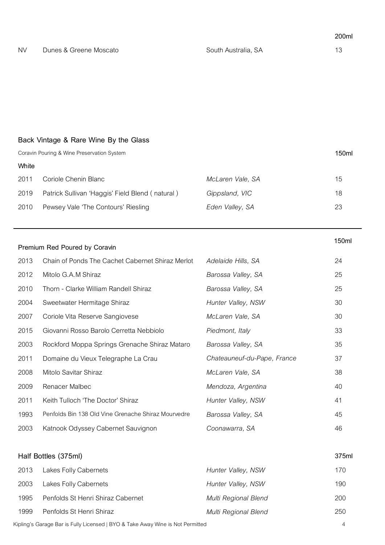NV Dunes & Greene Moscato **South Australia, SA** 13

#### **Back Vintage & Rare Wine By the Glass**

|       | Coravin Pouring & Wine Preservation System      |                  |    |
|-------|-------------------------------------------------|------------------|----|
| White |                                                 |                  |    |
| 2011  | Coriole Chenin Blanc                            | McLaren Vale, SA | 15 |
| 2019  | Patrick Sullivan 'Haggis' Field Blend (natural) | Gippsland, VIC   | 18 |
| 2010  | Pewsey Vale 'The Contours' Riesling             | Eden Valley, SA  | 23 |

|      | 150ml<br>Premium Red Poured by Coravin              |                             |    |  |  |
|------|-----------------------------------------------------|-----------------------------|----|--|--|
| 2013 | Chain of Ponds The Cachet Cabernet Shiraz Merlot    | Adelaide Hills, SA          | 24 |  |  |
| 2012 | Mitolo G.A.M Shiraz                                 | Barossa Valley, SA          | 25 |  |  |
| 2010 | Thorn - Clarke William Randell Shiraz               | Barossa Valley, SA          | 25 |  |  |
| 2004 | Sweetwater Hermitage Shiraz                         | Hunter Valley, NSW          | 30 |  |  |
| 2007 | Coriole Vita Reserve Sangiovese                     | McLaren Vale, SA            | 30 |  |  |
| 2015 | Giovanni Rosso Barolo Cerretta Nebbiolo             | Piedmont, Italy             | 33 |  |  |
| 2003 | Rockford Moppa Springs Grenache Shiraz Mataro       | Barossa Valley, SA          | 35 |  |  |
| 2011 | Domaine du Vieux Telegraphe La Crau                 | Chateauneuf-du-Pape, France | 37 |  |  |
| 2008 | Mitolo Savitar Shiraz                               | McLaren Vale, SA            | 38 |  |  |
| 2009 | Renacer Malbec                                      | Mendoza, Argentina          | 40 |  |  |
| 2011 | Keith Tulloch 'The Doctor' Shiraz                   | Hunter Valley, NSW          | 41 |  |  |
| 1993 | Penfolds Bin 138 Old Vine Grenache Shiraz Mourvedre | Barossa Valley, SA          | 45 |  |  |
| 2003 | Katnook Odyssey Cabernet Sauvignon                  | Coonawarra, SA              | 46 |  |  |

| Half Bottles (375ml)              |                      |     |  |
|-----------------------------------|----------------------|-----|--|
| Lakes Folly Cabernets             | Hunter Valley, NSW   | 170 |  |
| Lakes Folly Cabernets             | Hunter Valley, NSW   | 190 |  |
| Penfolds St Henri Shiraz Cabernet | Multi Regional Blend | 200 |  |
| Penfolds St Henri Shiraz          | Multi Regional Blend | 250 |  |
|                                   |                      |     |  |

Kipling's Garage Bar is Fully Licensed | BYO & Take Away Wine is Not Permitted 4 4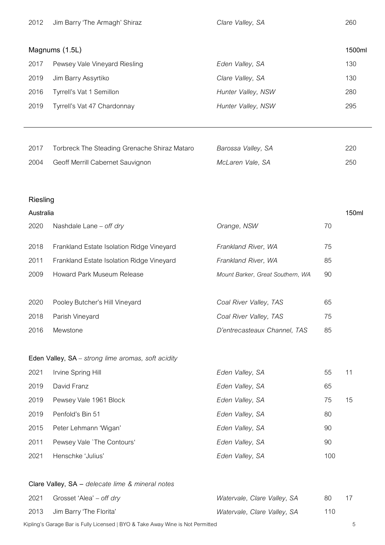<span id="page-4-0"></span>

| 2012      | Jim Barry 'The Armagh' Shiraz                      | Clare Valley, SA                 |    | 260    |
|-----------|----------------------------------------------------|----------------------------------|----|--------|
|           | Magnums (1.5L)                                     |                                  |    | 1500ml |
| 2017      | Pewsey Vale Vineyard Riesling                      | Eden Valley, SA                  |    | 130    |
| 2019      | Jim Barry Assyrtiko                                | Clare Valley, SA                 |    | 130    |
| 2016      | Tyrrell's Vat 1 Semillon                           | Hunter Valley, NSW               |    | 280    |
| 2019      | Tyrrell's Vat 47 Chardonnay                        | Hunter Valley, NSW               |    | 295    |
|           |                                                    |                                  |    |        |
| 2017      | Torbreck The Steading Grenache Shiraz Mataro       | Barossa Valley, SA               |    | 220    |
| 2004      | Geoff Merrill Cabernet Sauvignon                   | McLaren Vale, SA                 |    | 250    |
|           |                                                    |                                  |    |        |
| Riesling  |                                                    |                                  |    |        |
| Australia |                                                    |                                  |    | 150ml  |
| 2020      | Nashdale Lane - off dry                            | Orange, NSW                      | 70 |        |
| 2018      | Frankland Estate Isolation Ridge Vineyard          | Frankland River, WA              | 75 |        |
| 2011      | Frankland Estate Isolation Ridge Vineyard          | Frankland River, WA              | 85 |        |
| 2009      | Howard Park Museum Release                         | Mount Barker, Great Southern, WA | 90 |        |
| 2020      | Pooley Butcher's Hill Vineyard                     | Coal River Valley, TAS           | 65 |        |
| 2018      | Parish Vineyard                                    | Coal River Valley, TAS           | 75 |        |
| 2016      | Mewstone                                           | D'entrecasteaux Channel, TAS     | 85 |        |
|           | Eden Valley, SA - strong lime aromas, soft acidity |                                  |    |        |
| 2021      | Irvine Spring Hill                                 | Eden Valley, SA                  | 55 | 11     |
| 2019      | David Franz                                        | Eden Valley, SA                  | 65 |        |
| 2019      | Pewsey Vale 1961 Block                             | Eden Valley, SA                  | 75 | 15     |
| 2019      | Penfold's Bin 51                                   | Eden Valley, SA                  | 80 |        |
| 2015      | Peter Lehmann 'Wigan'                              | Eden Valley, SA                  | 90 |        |
| 2011      | Pewsey Vale 'The Contours'                         | Eden Valley, SA                  | 90 |        |
|           |                                                    |                                  |    |        |

| 2021 | Grosset 'Alea' – off dry     | Watervale, Clare Valley, SA | 80  |  |
|------|------------------------------|-----------------------------|-----|--|
|      | 2013 Jim Barry 'The Florita' | Watervale, Clare Valley, SA | 110 |  |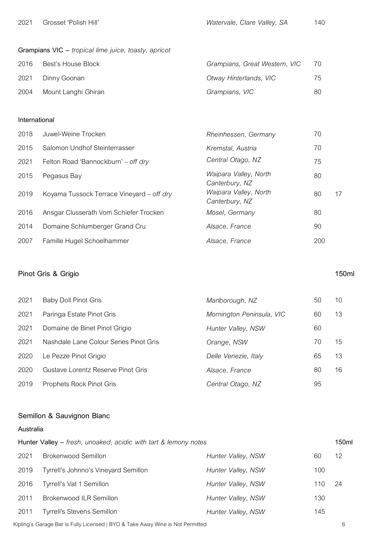#### **Grampians VIC –** *tropical lime juice, toasty, apricot*

| 2016 | Best's House Block  | Grampians, Great Western, VIC | 70  |
|------|---------------------|-------------------------------|-----|
| 2021 | Dinny Goonan        | Otway Hinterlands, VIC        | 75. |
| 2004 | Mount Langhi Ghiran | Grampians, VIC                | 80. |

#### **International**

| 2018 | Juwel-Weine Trocken                       | Rheinhessen, Germany                    | 70  |    |
|------|-------------------------------------------|-----------------------------------------|-----|----|
| 2015 | Salomon Undhof Steinterrasser             | Kremstal, Austria                       | 70  |    |
| 2021 | Felton Road 'Bannockburn' – off dry       | Central Otago, NZ                       | 75  |    |
| 2015 | Pegasus Bay                               | Waipara Valley, North<br>Canterbury, NZ | 80  |    |
| 2019 | Koyama Tussock Terrace Vineyard – off dry | Waipara Valley, North<br>Canterbury, NZ | 80  | 17 |
| 2016 | Ansgar Clusserath Vom Schiefer Trocken    | Mosel, Germany                          | 80  |    |
| 2014 | Domaine Schlumberger Grand Cru            | Alsace, France                          | 90  |    |
| 2007 | Famille Hugel Schoelhammer                | Alsace, France                          | 200 |    |

### <span id="page-5-0"></span>**Pinot Gris & Grigio 150ml**

| 2021 | Baby Doll Pinot Gris                   | Marlborough, NZ           | 50 | 10 |
|------|----------------------------------------|---------------------------|----|----|
| 2021 | Paringa Estate Pinot Gris              | Mornington Peninsula, VIC | 60 | 13 |
| 2021 | Domaine de Binet Pinot Grigio          | Hunter Valley, NSW        | 60 |    |
| 2021 | Nashdale Lane Colour Series Pinot Gris | Orange, NSW               | 70 | 15 |
| 2020 | Le Pezze Pinot Grigio                  | Delle Venezie, Italy      | 65 | 13 |
| 2020 | Gustave Lorentz Reserve Pinot Gris     | Alsace, France            | 80 | 16 |
| 2019 | Prophets Rock Pinot Gris               | Central Otago, NZ         | 95 |    |

#### <span id="page-5-1"></span>**Semillon & Sauvignon Blanc**

#### **Australia**

|      | Hunter Valley - fresh, unoaked, acidic with tart & lemony notes |                    |     |    |
|------|-----------------------------------------------------------------|--------------------|-----|----|
| 2021 | Brokenwood Semillon                                             | Hunter Valley, NSW | 60  | 12 |
| 2019 | Tyrrell's Johnno's Vineyard Semillon                            | Hunter Valley, NSW | 100 |    |
| 2016 | Tyrrell's Vat 1 Semillon                                        | Hunter Valley, NSW | 110 | 24 |
| 2011 | Brokenwood ILR Semillon                                         | Hunter Valley, NSW | 130 |    |
| 2011 | <b>Tyrrell's Stevens Semillon</b>                               | Hunter Valley, NSW | 145 |    |

Kipling's Garage Bar is Fully Licensed | BYO & Take Away Wine is Not Permitted 6 6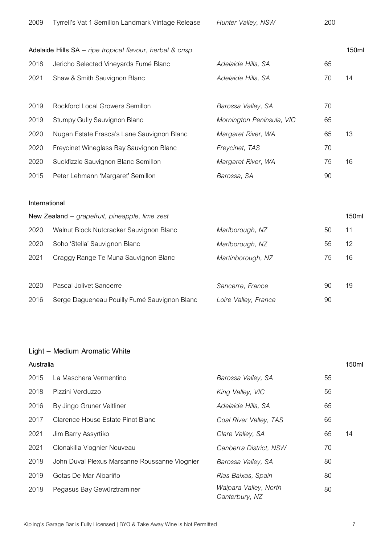| 2009          | Tyrrell's Vat 1 Semillon Landmark Vintage Release         | Hunter Valley, NSW        | 200 |          |
|---------------|-----------------------------------------------------------|---------------------------|-----|----------|
|               |                                                           |                           |     |          |
|               | Adelaide Hills SA - ripe tropical flavour, herbal & crisp |                           |     | 150ml    |
| 2018          | Jericho Selected Vineyards Fumé Blanc                     | Adelaide Hills, SA        | 65  |          |
| 2021          | Shaw & Smith Sauvignon Blanc                              | Adelaide Hills, SA        | 70  | 14       |
| 2019          | Rockford Local Growers Semillon                           | Barossa Valley, SA        | 70  |          |
| 2019          | Stumpy Gully Sauvignon Blanc                              | Mornington Peninsula, VIC | 65  |          |
| 2020          |                                                           |                           | 65  | 13       |
|               | Nugan Estate Frasca's Lane Sauvignon Blanc                | Margaret River, WA        |     |          |
| 2020          | Freycinet Wineglass Bay Sauvignon Blanc                   | Freycinet, TAS            | 70  |          |
| 2020          | Suckfizzle Sauvignon Blanc Semillon                       | Margaret River, WA        | 75  | 16       |
| 2015          | Peter Lehmann 'Margaret' Semillon                         | Barossa, SA               | 90  |          |
| International |                                                           |                           |     |          |
|               | New Zealand - grapefruit, pineapple, lime zest            |                           |     | 150ml    |
| 2020          | Walnut Block Nutcracker Sauvignon Blanc                   | Marlborough, NZ           | 50  | 11       |
| 2020          | Soho 'Stella' Sauvignon Blanc                             | Marlborough, NZ           | 55  | $12^{1}$ |
| 2021          | Craggy Range Te Muna Sauvignon Blanc                      | Martinborough, NZ         | 75  | 16       |
| 2020          | Pascal Jolivet Sancerre                                   | Sancerre, France          | 90  | 19       |
| 2016          | Serge Dagueneau Pouilly Fumé Sauvignon Blanc              | Loire Valley, France      | 90  |          |
|               |                                                           |                           |     |          |
|               |                                                           |                           |     |          |
|               | Light - Medium Aromatic White                             |                           |     |          |
| Australia     |                                                           |                           |     | 150ml    |
| 2015          | La Maschera Vermentino                                    | Barossa Valley, SA        | 55  |          |
| 2018          | Pizzini Verduzzo                                          | King Valley, VIC          | 55  |          |
| 2016          | By Jingo Gruner Veltliner                                 | Adelaide Hills, SA        | 65  |          |
| 2017          | Clarence House Estate Pinot Blanc                         | Coal River Valley, TAS    | 65  |          |
| 2021          | Jim Barry Assyrtiko                                       | Clare Valley, SA          | 65  | 14       |
| 2021          | Clonakilla Viognier Nouveau                               | Canberra District, NSW    | 70  |          |
| 2018          | John Duval Plexus Marsanne Roussanne Viognier             | Barossa Valley, SA        | 80  |          |

*Canterbury, NZ* 

<span id="page-6-0"></span> Gotas De Mar Albariño *Rias Baixas, Spain* 80 Pegasus Bay Gewürztraminer *Waipara Valley, North* 

Kipling's Garage Bar is Fully Licensed | BYO & Take Away Wine is Not Permitted 7 7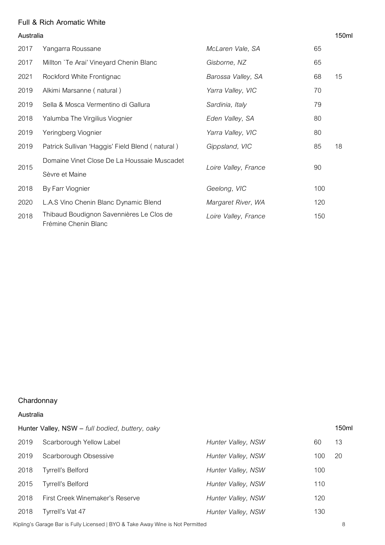### <span id="page-7-0"></span>**Full & Rich Aromatic White**

### **Australia 150ml**

| 2017 | Yangarra Roussane                                                | McLaren Vale, SA     | 65  |    |
|------|------------------------------------------------------------------|----------------------|-----|----|
| 2017 | Millton 'Te Arai' Vineyard Chenin Blanc                          | Gisborne, NZ         | 65  |    |
| 2021 | Rockford White Frontignac                                        | Barossa Valley, SA   | 68  | 15 |
| 2019 | Alkimi Marsanne (natural)                                        | Yarra Valley, VIC    | 70  |    |
| 2019 | Sella & Mosca Vermentino di Gallura                              | Sardinia, Italy      | 79  |    |
| 2018 | Yalumba The Virgilius Viognier                                   | Eden Valley, SA      | 80  |    |
| 2019 | Yeringberg Viognier                                              | Yarra Valley, VIC    | 80  |    |
| 2019 | Patrick Sullivan 'Haggis' Field Blend (natural)                  | Gippsland, VIC       | 85  | 18 |
| 2015 | Domaine Vinet Close De La Houssaie Muscadet                      |                      | 90  |    |
|      | Sèvre et Maine                                                   | Loire Valley, France |     |    |
| 2018 | By Farr Viognier                                                 | Geelong, VIC         | 100 |    |
| 2020 | L.A.S Vino Chenin Blanc Dynamic Blend                            | Margaret River, WA   | 120 |    |
| 2018 | Thibaud Boudignon Savennières Le Clos de<br>Frémine Chenin Blanc | Loire Valley, France | 150 |    |

#### <span id="page-7-1"></span>**Chardonnay**

#### **Australia**

|      | Hunter Valley, NSW - full bodied, buttery, oaky |                    |     | 150ml |
|------|-------------------------------------------------|--------------------|-----|-------|
| 2019 | Scarborough Yellow Label                        | Hunter Valley, NSW | 60  | 13    |
| 2019 | Scarborough Obsessive                           | Hunter Valley, NSW | 100 | 20    |
| 2018 | <b>Tyrrell's Belford</b>                        | Hunter Valley, NSW | 100 |       |
| 2015 | <b>Tyrrell's Belford</b>                        | Hunter Valley, NSW | 110 |       |
| 2018 | First Creek Winemaker's Reserve                 | Hunter Valley, NSW | 120 |       |
| 2018 | Tyrrell's Vat 47                                | Hunter Valley, NSW | 130 |       |

Kipling's Garage Bar is Fully Licensed | BYO & Take Away Wine is Not Permitted 8 8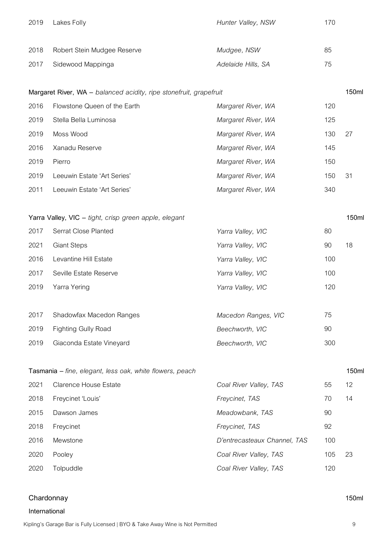| 2019 | Lakes Folly                 | Hunter Valley, NSW | 170 |
|------|-----------------------------|--------------------|-----|
| 2018 | Robert Stein Mudgee Reserve | Mudgee, NSW        | 85  |
| 2017 | Sidewood Mappinga           | Adelaide Hills, SA | 75  |

|      | Margaret River, WA - balanced acidity, ripe stonefruit, grapefruit |                    |     | 150ml |
|------|--------------------------------------------------------------------|--------------------|-----|-------|
| 2016 | Flowstone Queen of the Earth                                       | Margaret River, WA | 120 |       |
| 2019 | Stella Bella Luminosa                                              | Margaret River, WA | 125 |       |
| 2019 | Moss Wood                                                          | Margaret River, WA | 130 | 27    |
| 2016 | Xanadu Reserve                                                     | Margaret River, WA | 145 |       |
| 2019 | Pierro                                                             | Margaret River, WA | 150 |       |
| 2019 | Leeuwin Estate 'Art Series'                                        | Margaret River, WA | 150 | -31   |
| 2011 | Leeuwin Estate 'Art Series'                                        | Margaret River, WA | 340 |       |

#### **Yarra Valley, VIC –** *tight, crisp green apple, elegant* **150ml**

| 2017 | Serrat Close Planted   | Yarra Valley, VIC | 80  |    |
|------|------------------------|-------------------|-----|----|
| 2021 | <b>Giant Steps</b>     | Yarra Valley, VIC | 90  | 18 |
| 2016 | Levantine Hill Estate  | Yarra Valley, VIC | 100 |    |
| 2017 | Seville Estate Reserve | Yarra Valley, VIC | 100 |    |
| 2019 | Yarra Yering           | Yarra Valley, VIC | 120 |    |
|      |                        |                   |     |    |

| 2017 | Shadowfax Macedon Ranges | Macedon Ranges, VIC | 75  |
|------|--------------------------|---------------------|-----|
|      | 2019 Fighting Gully Road | Beechworth, VIC     | 90  |
| 2019 | Giaconda Estate Vineyard | Beechworth, VIC     | 300 |

| Tasmania - fine, elegant, less oak, white flowers, peach |                       |                              |     | 150ml |
|----------------------------------------------------------|-----------------------|------------------------------|-----|-------|
| 2021                                                     | Clarence House Estate | Coal River Valley, TAS       | 55  | 12    |
| 2018                                                     | Freycinet 'Louis'     | Freycinet, TAS               | 70  | 14    |
| 2015                                                     | Dawson James          | Meadowbank, TAS              | 90  |       |
| 2018                                                     | Freycinet             | Freycinet, TAS               | 92  |       |
| 2016                                                     | Mewstone              | D'entrecasteaux Channel. TAS | 100 |       |
| 2020                                                     | Pooley                | Coal River Valley, TAS       | 105 | 23    |
| 2020                                                     | Tolpuddle             | Coal River Valley, TAS       | 120 |       |

### **Chardonnay 150ml**

#### **International**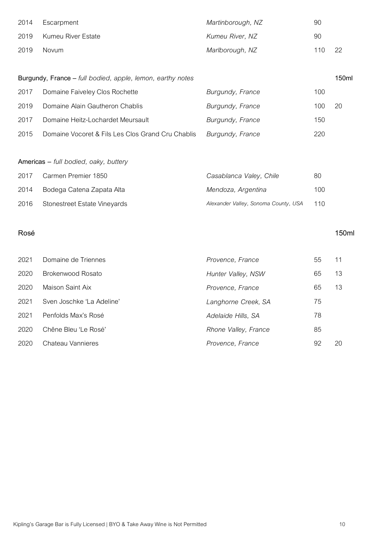| 2014 | Escarpment                                                 | Martinborough, NZ | 90  |       |
|------|------------------------------------------------------------|-------------------|-----|-------|
| 2019 | Kumeu River Estate                                         | Kumeu River, NZ   | 90  |       |
| 2019 | Novum                                                      | Marlborough, NZ   | 110 | 22    |
|      |                                                            |                   |     |       |
|      | Burgundy, France – full bodied, apple, lemon, earthy notes |                   |     | 150ml |
| 2017 | Domaine Faiveley Clos Rochette                             | Burgundy, France  | 100 |       |
| 2019 | Domaine Alain Gautheron Chablis                            | Burgundy, France  | 100 | 20    |

| 2017 | Domaine Heitz-Lochardet Meursault                                  | Burgundy, France | 150 |
|------|--------------------------------------------------------------------|------------------|-----|
| 2015 | Domaine Vocoret & Fils Les Clos Grand Cru Chablis Burgundy, France |                  | 220 |

**Americas –** *full bodied, oaky, buttery*

| 2017 | Carmen Premier 1850          | Casablanca Valev. Chile              | 80  |
|------|------------------------------|--------------------------------------|-----|
| 2014 | Bodega Catena Zapata Alta    | Mendoza, Argentina                   | 100 |
| 2016 | Stonestreet Estate Vineyards | Alexander Valley, Sonoma County, USA | 110 |

# <span id="page-9-0"></span>**Rosé 150ml**

| 2021 | Domaine de Triennes       | Provence, France     | 55 | 11 |
|------|---------------------------|----------------------|----|----|
| 2020 | Brokenwood Rosato         | Hunter Valley, NSW   | 65 | 13 |
| 2020 | Maison Saint Aix          | Provence, France     | 65 | 13 |
| 2021 | Sven Joschke 'La Adeline' | Langhorne Creek, SA  | 75 |    |
| 2021 | Penfolds Max's Rosé       | Adelaide Hills, SA   | 78 |    |
| 2020 | Chêne Bleu 'Le Rosé'      | Rhone Valley, France | 85 |    |
| 2020 | Chateau Vannieres         | Provence, France     | 92 | 20 |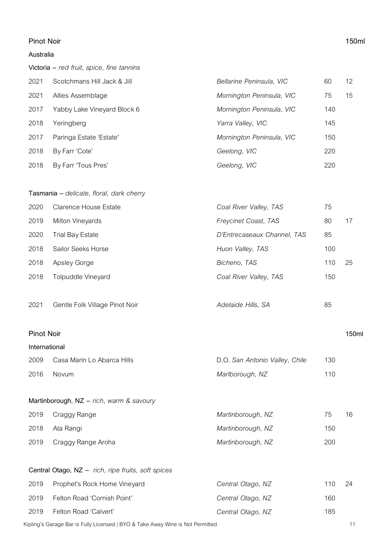# <span id="page-10-0"></span>**Pinot Noir** 150ml

#### **Australia**

|      | Victoria – red fruit, spice, fine tannins |                           |     |    |  |
|------|-------------------------------------------|---------------------------|-----|----|--|
| 2021 | Scotchmans Hill Jack & Jill               | Bellarine Peninsula, VIC  | 60  | 12 |  |
| 2021 | Allies Assemblage                         | Mornington Peninsula, VIC | 75  | 15 |  |
| 2017 | Yabby Lake Vineyard Block 6               | Mornington Peninsula, VIC | 140 |    |  |
| 2018 | Yeringberg                                | Yarra Valley, VIC         | 145 |    |  |
| 2017 | Paringa Estate 'Estate'                   | Mornington Peninsula, VIC | 150 |    |  |
| 2018 | By Farr 'Cote'                            | Geelong, VIC              | 220 |    |  |
| 2018 | By Farr 'Tous Pres'                       | Geelong, VIC              | 220 |    |  |
|      |                                           |                           |     |    |  |

# 2020 Clarence House Estate *Coal River Valley, TAS* 75 2019 Milton Vineyards *Freycinet Coast, TAS* 80 17 2020 Trial Bay Estate *D'Entrecaseaux Channel, TAS* 85 2018 Sailor Seeks Horse *Huon Valley, TAS* 100 2018 Apsley Gorge *Bicheno, TAS* 110 25 2018 Tolpuddle Vineyard *Coal River Valley, TAS* 150

2021 Gentle Folk Village Pinot Noir *Adelaide Hills, SA* 85

**Tasmania –** *delicate, floral, dark cherry*

# **Pinot Noir 150ml**

| International |                            |                                |     |
|---------------|----------------------------|--------------------------------|-----|
| 2009          | Casa Marin Lo Abarca Hills | D.O. San Antonio Valley, Chile | 130 |
| 2016          | Novum                      | Marlborough, NZ                | 110 |

#### **Martinborough, NZ –** *rich, warm & savoury*

| 2019 | Craggy Range            | Martinborough, NZ | 75  | 16 |
|------|-------------------------|-------------------|-----|----|
|      | 2018 Ata Rangi          | Martinborough, NZ | 150 |    |
|      | 2019 Craggy Range Aroha | Martinborough, NZ | 200 |    |

# **Central Otago, NZ –** *rich, ripe fruits, soft spices* 2019 Prophet's Rock Home Vineyard *Central Otago, NZ* 110 24 2019 Felton Road 'Cornish Point' *Central Otago, NZ* 160 2019 Felton Road 'Calvert' *Central Otago, NZ* 185

Kipling's Garage Bar is Fully Licensed | BYO & Take Away Wine is Not Permitted 11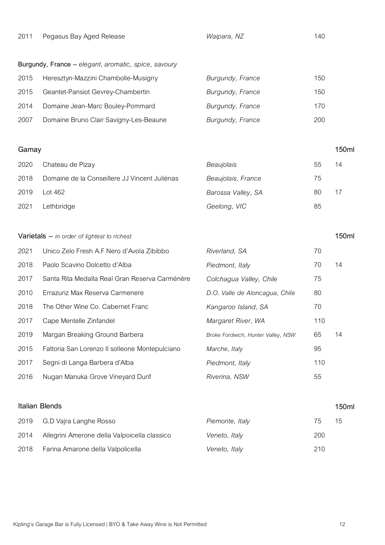| 2011  | Pegasus Bay Aged Release                             | Waipara, NZ        | 140 |                   |
|-------|------------------------------------------------------|--------------------|-----|-------------------|
|       |                                                      |                    |     |                   |
|       | Burgundy, France – elegant, aromatic, spice, savoury |                    |     |                   |
| 2015  | Heresztyn-Mazzini Chambolle-Musigny                  | Burgundy, France   | 150 |                   |
| 2015  | Geantet-Pansiot Gevrey-Chambertin                    | Burgundy, France   | 150 |                   |
| 2014  | Domaine Jean-Marc Bouley-Pommard                     | Burgundy, France   | 170 |                   |
| 2007  | Domaine Bruno Clair Savigny-Les-Beaune               | Burgundy, France   | 200 |                   |
|       |                                                      |                    |     |                   |
| Gamay |                                                      |                    |     | 150 <sub>ml</sub> |
| 2020  | Chateau de Pizay                                     | Beaujolais         | 55  | 14                |
| 2018  | Domaine de la Conseillere JJ Vincent Juliénas        | Beaujolais, France | 75  |                   |
| 2019  | Lot 462                                              | Barossa Valley, SA | 80  | 17                |
| 2021  | Lethbridge                                           | Geelong, VIC       | 85  |                   |
|       |                                                      |                    |     |                   |

### <span id="page-11-1"></span><span id="page-11-0"></span>**Varietals –** *in order of lightest to richest* **150ml**

| 2021 | Unico Zelo Fresh A.F Nero d'Avola Zibibbo      | Riverland, SA                      | 70  |    |
|------|------------------------------------------------|------------------------------------|-----|----|
| 2018 | Paolo Scavino Dolcetto d'Alba                  | Piedmont, Italy                    | 70  | 14 |
| 2017 | Santa Rita Medalla Real Gran Reserva Carménère | Colchaqua Valley, Chile            | 75  |    |
| 2010 | Frrazuriz Max Reserva Carmenere                | D.O. Valle de Aloncagua, Chile     | 80  |    |
| 2018 | The Other Wine Co. Cabernet Franc              | Kangaroo Island, SA                | 70  |    |
| 2017 | Cape Mentelle Zinfandel                        | Margaret River, WA                 | 110 |    |
| 2019 | Margan Breaking Ground Barbera                 | Broke Fordwich, Hunter Valley, NSW | 65  | 14 |
| 2015 | Fattoria San Lorenzo II solleone Montepulciano | Marche, Italy                      | 95  |    |
| 2017 | Segni di Langa Barbera d'Alba                  | Piedmont, Italy                    | 110 |    |
| 2016 | Nugan Manuka Grove Vineyard Durif              | Riverina, NSW                      | 55  |    |

# <span id="page-11-2"></span>**Italian Blends 150ml**  G.D Vajra Langhe Rosso *Piemonte, Italy* 75 15 Allegrini Amerone della Valpoicella classico *Veneto, Italy* 200 Farina Amarone della Valpolicella *Veneto, Italy* 210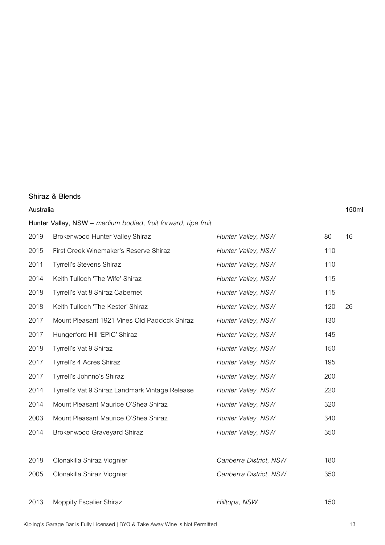#### <span id="page-12-0"></span>**Shiraz & Blends**

### **Australia 150ml**

|      | Hunter Valley, NSW - medium bodied, fruit forward, ripe fruit |     |
|------|---------------------------------------------------------------|-----|
| 0010 | Declaration of Hospital Matters Objects                       | 111 |

| 2019 | Brokenwood Hunter Valley Shiraz                 | Hunter Valley, NSW     | 80  | 16 |
|------|-------------------------------------------------|------------------------|-----|----|
| 2015 | First Creek Winemaker's Reserve Shiraz          | Hunter Valley, NSW     | 110 |    |
| 2011 | Tyrrell's Stevens Shiraz                        | Hunter Valley, NSW     | 110 |    |
| 2014 | Keith Tulloch 'The Wife' Shiraz                 | Hunter Valley, NSW     | 115 |    |
| 2018 | Tyrrell's Vat 8 Shiraz Cabernet                 | Hunter Valley, NSW     | 115 |    |
| 2018 | Keith Tulloch 'The Kester' Shiraz               | Hunter Valley, NSW     | 120 | 26 |
| 2017 | Mount Pleasant 1921 Vines Old Paddock Shiraz    | Hunter Valley, NSW     | 130 |    |
| 2017 | Hungerford Hill 'EPIC' Shiraz                   | Hunter Valley, NSW     | 145 |    |
| 2018 | Tyrrell's Vat 9 Shiraz                          | Hunter Valley, NSW     | 150 |    |
| 2017 | Tyrrell's 4 Acres Shiraz                        | Hunter Valley, NSW     | 195 |    |
| 2017 | Tyrrell's Johnno's Shiraz                       | Hunter Valley, NSW     | 200 |    |
| 2014 | Tyrrell's Vat 9 Shiraz Landmark Vintage Release | Hunter Valley, NSW     | 220 |    |
| 2014 | Mount Pleasant Maurice O'Shea Shiraz            | Hunter Valley, NSW     | 320 |    |
| 2003 | Mount Pleasant Maurice O'Shea Shiraz            | Hunter Valley, NSW     | 340 |    |
| 2014 | Brokenwood Graveyard Shiraz                     | Hunter Valley, NSW     | 350 |    |
|      |                                                 |                        |     |    |
| 2018 | Clonakilla Shiraz Viognier                      | Canberra District, NSW | 180 |    |
| 2005 | Clonakilla Shiraz Viognier                      | Canberra District, NSW | 350 |    |
|      |                                                 |                        |     |    |

Moppity Escalier Shiraz *Hilltops, NSW* 150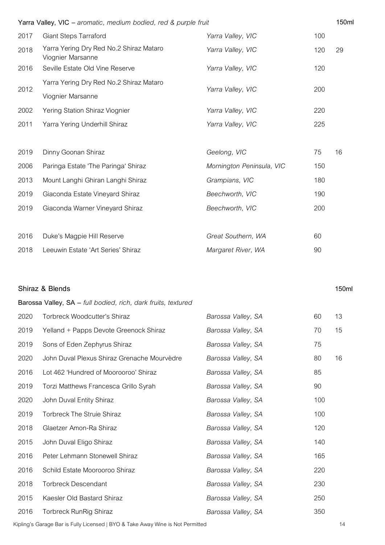|      | Yarra Valley, VIC - aromatic, medium bodied, red & purple fruit |                           |     | 150ml |
|------|-----------------------------------------------------------------|---------------------------|-----|-------|
| 2017 | Giant Steps Tarraford                                           | Yarra Valley, VIC         | 100 |       |
| 2018 | Yarra Yering Dry Red No.2 Shiraz Mataro<br>Viognier Marsanne    | Yarra Valley, VIC         | 120 | 29    |
| 2016 | Seville Estate Old Vine Reserve                                 | Yarra Valley, VIC         | 120 |       |
| 2012 | Yarra Yering Dry Red No.2 Shiraz Mataro                         | Yarra Valley, VIC         | 200 |       |
|      | Viognier Marsanne                                               |                           |     |       |
| 2002 | Yering Station Shiraz Viognier                                  | Yarra Valley, VIC         | 220 |       |
| 2011 | Yarra Yering Underhill Shiraz                                   | Yarra Valley, VIC         | 225 |       |
|      |                                                                 |                           |     |       |
| 2019 | Dinny Goonan Shiraz                                             | Geelong, VIC              | 75  | 16    |
| 2006 | Paringa Estate 'The Paringa' Shiraz                             | Mornington Peninsula, VIC | 150 |       |
| 2013 | Mount Langhi Ghiran Langhi Shiraz                               | Grampians, VIC            | 180 |       |
| 2019 | Giaconda Estate Vineyard Shiraz                                 | Beechworth, VIC           | 190 |       |
| 2019 | Giaconda Warner Vineyard Shiraz                                 | Beechworth, VIC           | 200 |       |
|      |                                                                 |                           |     |       |
| 2016 | Duke's Magpie Hill Reserve                                      | Great Southern, WA        | 60  |       |
| 2018 | Leeuwin Estate 'Art Series' Shiraz                              | Margaret River, WA        | 90  |       |

#### <span id="page-13-0"></span>**Shiraz & Blends 150ml**

| 2020 | Torbreck Woodcutter's Shiraz                | Barossa Valley, SA | 60  | 13 |
|------|---------------------------------------------|--------------------|-----|----|
| 2019 | Yelland + Papps Devote Greenock Shiraz      | Barossa Valley, SA | 70  | 15 |
| 2019 | Sons of Eden Zephyrus Shiraz                | Barossa Valley, SA | 75  |    |
| 2020 | John Duval Plexus Shiraz Grenache Mourvèdre | Barossa Valley, SA | 80  | 16 |
| 2016 | Lot 462 'Hundred of Moorooroo' Shiraz       | Barossa Valley, SA | 85  |    |
| 2019 | Torzi Matthews Francesca Grillo Syrah       | Barossa Valley, SA | 90  |    |
| 2020 | John Duval Entity Shiraz                    | Barossa Valley, SA | 100 |    |
| 2019 | Torbreck The Struie Shiraz                  | Barossa Valley, SA | 100 |    |
| 2018 | Glaetzer Amon-Ra Shiraz                     | Barossa Valley, SA | 120 |    |
| 2015 | John Duval Eligo Shiraz                     | Barossa Valley, SA | 140 |    |
| 2016 | Peter Lehmann Stonewell Shiraz              | Barossa Valley, SA | 165 |    |
| 2016 | Schild Estate Moorooroo Shiraz              | Barossa Valley, SA | 220 |    |
| 2018 | <b>Torbreck Descendant</b>                  | Barossa Valley, SA | 230 |    |
| 2015 | Kaesler Old Bastard Shiraz                  | Barossa Valley, SA | 250 |    |
| 2016 | Torbreck RunRig Shiraz                      | Barossa Valley, SA | 350 |    |

Kipling's Garage Bar is Fully Licensed | BYO & Take Away Wine is Not Permitted 14

**Barossa Valley, SA –** *full bodied, rich, dark fruits, textured*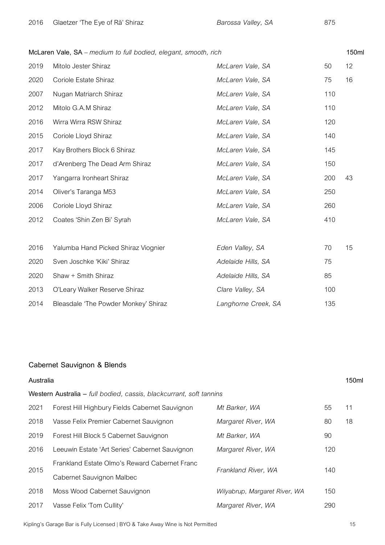|      | 150ml<br>McLaren Vale, SA - medium to full bodied, elegant, smooth, rich |                     |     |    |  |
|------|--------------------------------------------------------------------------|---------------------|-----|----|--|
| 2019 | Mitolo Jester Shiraz                                                     | McLaren Vale, SA    | 50  | 12 |  |
| 2020 | Coriole Estate Shiraz                                                    | McLaren Vale, SA    | 75  | 16 |  |
| 2007 | Nugan Matriarch Shiraz                                                   | McLaren Vale, SA    | 110 |    |  |
| 2012 | Mitolo G.A.M Shiraz                                                      | McLaren Vale, SA    | 110 |    |  |
| 2016 | Wirra Wirra RSW Shiraz                                                   | McLaren Vale, SA    | 120 |    |  |
| 2015 | Coriole Lloyd Shiraz                                                     | McLaren Vale, SA    | 140 |    |  |
| 2017 | Kay Brothers Block 6 Shiraz                                              | McLaren Vale, SA    | 145 |    |  |
| 2017 | d'Arenberg The Dead Arm Shiraz                                           | McLaren Vale, SA    | 150 |    |  |
| 2017 | Yangarra Ironheart Shiraz                                                | McLaren Vale, SA    | 200 | 43 |  |
| 2014 | Oliver's Taranga M53                                                     | McLaren Vale, SA    | 250 |    |  |
| 2006 | Coriole Lloyd Shiraz                                                     | McLaren Vale, SA    | 260 |    |  |
| 2012 | Coates 'Shin Zen Bi' Syrah                                               | McLaren Vale, SA    | 410 |    |  |
|      |                                                                          |                     |     |    |  |
| 2016 | Yalumba Hand Picked Shiraz Viognier                                      | Eden Valley, SA     | 70  | 15 |  |
| 2020 | Sven Joschke 'Kiki' Shiraz                                               | Adelaide Hills, SA  | 75  |    |  |
| 2020 | Shaw + Smith Shiraz                                                      | Adelaide Hills, SA  | 85  |    |  |
| 2013 | O'Leary Walker Reserve Shiraz                                            | Clare Valley, SA    | 100 |    |  |
| 2014 | Bleasdale 'The Powder Monkey' Shiraz                                     | Langhorne Creek, SA | 135 |    |  |

#### <span id="page-14-0"></span>**Cabernet Sauvignon & Blends**

|      | Australia                                                           |                               |     | 150ml |  |
|------|---------------------------------------------------------------------|-------------------------------|-----|-------|--|
|      | Western Australia - full bodied, cassis, blackcurrant, soft tannins |                               |     |       |  |
| 2021 | Forest Hill Highbury Fields Cabernet Sauvignon                      | Mt Barker, WA                 | 55  | 11    |  |
| 2018 | Vasse Felix Premier Cabernet Sauvignon                              | Margaret River, WA            | 80  | 18    |  |
| 2019 | Forest Hill Block 5 Cabernet Sauvignon                              | Mt Barker, WA                 | 90  |       |  |
| 2016 | Leeuwin Estate 'Art Series' Cabernet Sauvignon                      | Margaret River, WA            | 120 |       |  |
| 2015 | Frankland Estate Olmo's Reward Cabernet Franc                       |                               | 140 |       |  |
|      | Cabernet Sauvignon Malbec                                           | Frankland River, WA           |     |       |  |
| 2018 | Moss Wood Cabernet Sauvignon                                        | Wilyabrup, Margaret River, WA | 150 |       |  |
| 2017 | Vasse Felix 'Tom Cullity'                                           | Margaret River, WA            | 290 |       |  |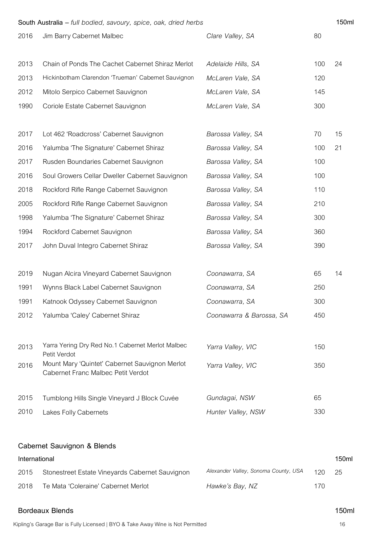|      | 150ml<br>South Australia - full bodied, savoury, spice, oak, dried herbs             |                          |     |    |
|------|--------------------------------------------------------------------------------------|--------------------------|-----|----|
| 2016 | Jim Barry Cabernet Malbec                                                            | Clare Valley, SA         | 80  |    |
| 2013 | Chain of Ponds The Cachet Cabernet Shiraz Merlot                                     | Adelaide Hills, SA       | 100 | 24 |
| 2013 | Hickinbotham Clarendon 'Trueman' Cabernet Sauvignon                                  | McLaren Vale, SA         | 120 |    |
| 2012 | Mitolo Serpico Cabernet Sauvignon                                                    | McLaren Vale, SA         | 145 |    |
| 1990 | Coriole Estate Cabernet Sauvignon                                                    | McLaren Vale, SA         | 300 |    |
| 2017 | Lot 462 'Roadcross' Cabernet Sauvignon                                               | Barossa Valley, SA       | 70  | 15 |
| 2016 | Yalumba 'The Signature' Cabernet Shiraz                                              | Barossa Valley, SA       | 100 | 21 |
| 2017 | Rusden Boundaries Cabernet Sauvignon                                                 | Barossa Valley, SA       | 100 |    |
| 2016 | Soul Growers Cellar Dweller Cabernet Sauvignon                                       | Barossa Valley, SA       | 100 |    |
| 2018 | Rockford Rifle Range Cabernet Sauvignon                                              | Barossa Valley, SA       | 110 |    |
| 2005 | Rockford Rifle Range Cabernet Sauvignon                                              | Barossa Valley, SA       | 210 |    |
| 1998 | Yalumba 'The Signature' Cabernet Shiraz                                              | Barossa Valley, SA       | 300 |    |
| 1994 | Rockford Cabernet Sauvignon                                                          | Barossa Valley, SA       | 360 |    |
| 2017 | John Duval Integro Cabernet Shiraz                                                   | Barossa Valley, SA       | 390 |    |
| 2019 | Nugan Alcira Vineyard Cabernet Sauvignon                                             | Coonawarra, SA           | 65  | 14 |
| 1991 | Wynns Black Label Cabernet Sauvignon                                                 | Coonawarra, SA           | 250 |    |
| 1991 | Katnook Odyssey Cabernet Sauvignon                                                   | Coonawarra, SA           | 300 |    |
| 2012 | Yalumba 'Caley' Cabernet Shiraz                                                      | Coonawarra & Barossa, SA | 450 |    |
| 2013 | Yarra Yering Dry Red No.1 Cabernet Merlot Malbec<br>Petit Verdot                     | Yarra Valley, VIC        | 150 |    |
| 2016 | Mount Mary 'Quintet' Cabernet Sauvignon Merlot<br>Cabernet Franc Malbec Petit Verdot | Yarra Valley, VIC        | 350 |    |
| 2015 | Tumblong Hills Single Vineyard J Block Cuvée                                         | Gundagai, NSW            | 65  |    |
| 2010 | Lakes Folly Cabernets                                                                | Hunter Valley, NSW       | 330 |    |

### **Cabernet Sauvignon & Blends**

| International |                                                 |                                      | 150ml |     |
|---------------|-------------------------------------------------|--------------------------------------|-------|-----|
| 2015          | Stonestreet Estate Vineyards Cabernet Sauvignon | Alexander Valley, Sonoma County, USA | 120   | -25 |
| 2018          | Te Mata 'Coleraine' Cabernet Merlot             | Hawke's Bay, NZ                      | 170   |     |

#### <span id="page-15-0"></span>**Bordeaux Blends 150ml**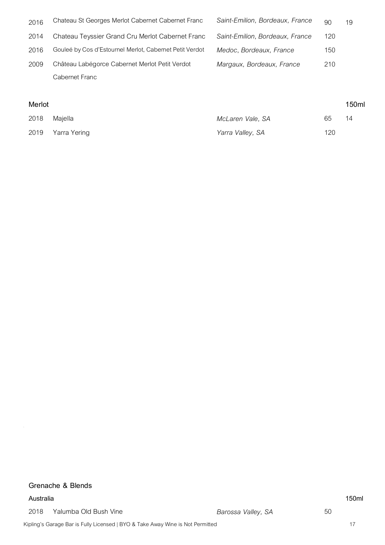| 2016 | Chateau St Georges Merlot Cabernet Cabernet Franc       | Saint-Emilion, Bordeaux, France | 90  | 19 |
|------|---------------------------------------------------------|---------------------------------|-----|----|
| 2014 | Chateau Teyssier Grand Cru Merlot Cabernet Franc        | Saint-Emilion, Bordeaux, France | 120 |    |
| 2016 | Gouleé by Cos d'Estournel Merlot, Cabernet Petit Verdot | Medoc, Bordeaux, France         | 150 |    |
| 2009 | Château Labégorce Cabernet Merlot Petit Verdot          | Margaux, Bordeaux, France       | 210 |    |
|      | Cabernet Franc                                          |                                 |     |    |

# **Merlot 150ml**

| 2018 Majella      | McLaren Vale. SA | 65  | 14 |
|-------------------|------------------|-----|----|
| 2019 Yarra Yering | Yarra Valley, SA | 120 |    |

#### <span id="page-16-0"></span>**Grenache & Blends**

2018 Yalumba Old Bush Vine *Barossa Valley, SA* 50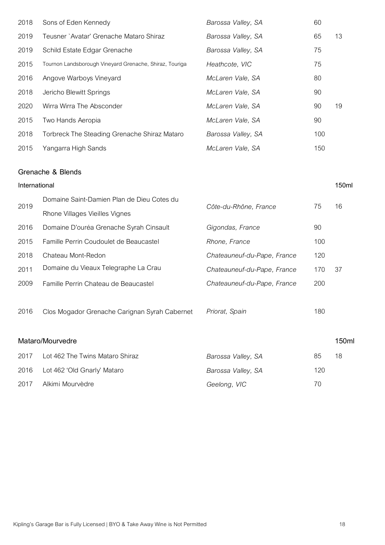| 2018 | Sons of Eden Kennedy                                    | Barossa Valley, SA | 60  |    |
|------|---------------------------------------------------------|--------------------|-----|----|
| 2019 | Teusner `Avatar' Grenache Mataro Shiraz                 | Barossa Valley, SA | 65  | 13 |
| 2019 | Schild Estate Edgar Grenache                            | Barossa Valley, SA | 75  |    |
| 2015 | Tournon Landsborough Vineyard Grenache, Shiraz, Touriga | Heathcote, VIC     | 75  |    |
| 2016 | Angove Warboys Vineyard                                 | McLaren Vale, SA   | 80  |    |
| 2018 | Jericho Blewitt Springs                                 | McLaren Vale, SA   | 90  |    |
| 2020 | Wirra Wirra The Absconder                               | McLaren Vale, SA   | 90  | 19 |
| 2015 | Two Hands Aeropia                                       | McLaren Vale, SA   | 90  |    |
| 2018 | Torbreck The Steading Grenache Shiraz Mataro            | Barossa Valley, SA | 100 |    |
| 2015 | Yangarra High Sands                                     | McLaren Vale, SA   | 150 |    |

#### **Grenache & Blends**

### **International** 150ml

|      | Domaine Saint-Damien Plan de Dieu Cotes du |                             |     |     |
|------|--------------------------------------------|-----------------------------|-----|-----|
| 2019 |                                            | Côte-du-Rhône, France       | 75  | 16  |
|      | Rhone Villages Vieilles Vignes             |                             |     |     |
| 2016 | Domaine D'ouréa Grenache Syrah Cinsault    | Gigondas, France            | 90  |     |
| 2015 | Famille Perrin Coudoulet de Beaucastel     | Rhone, France               | 100 |     |
| 2018 | Chateau Mont-Redon                         | Chateauneuf-du-Pape, France | 120 |     |
| 2011 | Domaine du Vieaux Telegraphe La Crau       | Chateauneuf-du-Pape, France | 170 | -37 |
| 2009 | Famille Perrin Chateau de Beaucastel       | Chateauneuf-du-Pape, France | 200 |     |
|      |                                            |                             |     |     |

| 2016 Clos Mogador Grenache Carignan Syrah Cabernet | Priorat, Spain | 180 |
|----------------------------------------------------|----------------|-----|
|                                                    |                |     |

#### <span id="page-17-0"></span>**Mataro/Mourvedre 150ml**

| 2017 | Lot 462 The Twins Mataro Shiraz  | Barossa Valley, SA | 85  | 18 |
|------|----------------------------------|--------------------|-----|----|
|      | 2016 Lot 462 'Old Gnarly' Mataro | Barossa Valley, SA | 120 |    |
| 2017 | Alkimi Mourvèdre                 | Geelong, VIC       | 70. |    |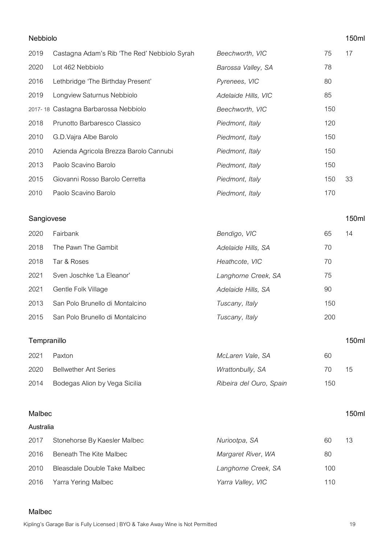# <span id="page-18-0"></span>**Nebbiolo 150ml**  Castagna Adam's Rib 'The Red' Nebbiolo Syrah *Beechworth, VIC* 75 17 Lot 462 Nebbiolo *Barossa Valley, SA* 78 Lethbridge 'The Birthday Present' *Pyrenees, VIC* 80 Longview Saturnus Nebbiolo *Adelaide Hills, VIC* 85 2017- 18 Castagna Barbarossa Nebbiolo *Beechworth, VIC* 150 Prunotto Barbaresco Classico *Piedmont, Italy* 120 G.D.Vajra Albe Barolo *Piedmont, Italy* 150 Azienda Agricola Brezza Barolo Cannubi *Piedmont, Italy* 150 2013 Paolo Scavino Barolo *Piedmont, Italy* 150 Giovanni Rosso Barolo Cerretta *Piedmont, Italy* 150 33 Paolo Scavino Barolo *Piedmont, Italy* 170

# <span id="page-18-1"></span>**Sangiovese** 150ml

| 2020 | Fairbank                        | Bendigo, VIC        | 65  | 14 |
|------|---------------------------------|---------------------|-----|----|
| 2018 | The Pawn The Gambit             | Adelaide Hills, SA  | 70  |    |
| 2018 | Tar & Roses                     | Heathcote, VIC      | 70  |    |
| 2021 | Sven Joschke 'La Fleanor'       | Langhorne Creek, SA | 75  |    |
| 2021 | Gentle Folk Village             | Adelaide Hills, SA  | 90  |    |
| 2013 | San Polo Brunello di Montalcino | Tuscany, Italy      | 150 |    |
| 2015 | San Polo Brunello di Montalcino | Tuscany, Italy      | 200 |    |

# <span id="page-18-2"></span>**Tempranillo 150ml**

| 2021 | Paxton                        | McLaren Vale, SA        | 60  |    |
|------|-------------------------------|-------------------------|-----|----|
| 2020 | Bellwether Ant Series         | Wrattonbully, SA        | 70  | 15 |
| 2014 | Bodegas Alion by Vega Sicilia | Ribeira del Ouro, Spain | 150 |    |

# <span id="page-18-3"></span>**Malbec** 150ml

| Australia |                              |                     |     |    |  |
|-----------|------------------------------|---------------------|-----|----|--|
| 2017      | Stonehorse By Kaesler Malbec | Nuriootpa, SA       | 60  | 13 |  |
| 2016      | Beneath The Kite Malbec      | Margaret River, WA  | 80  |    |  |
| 2010      | Bleasdale Double Take Malbec | Langhorne Creek, SA | 100 |    |  |
| 2016      | Yarra Yering Malbec          | Yarra Valley, VIC   | 110 |    |  |

#### **Malbec**